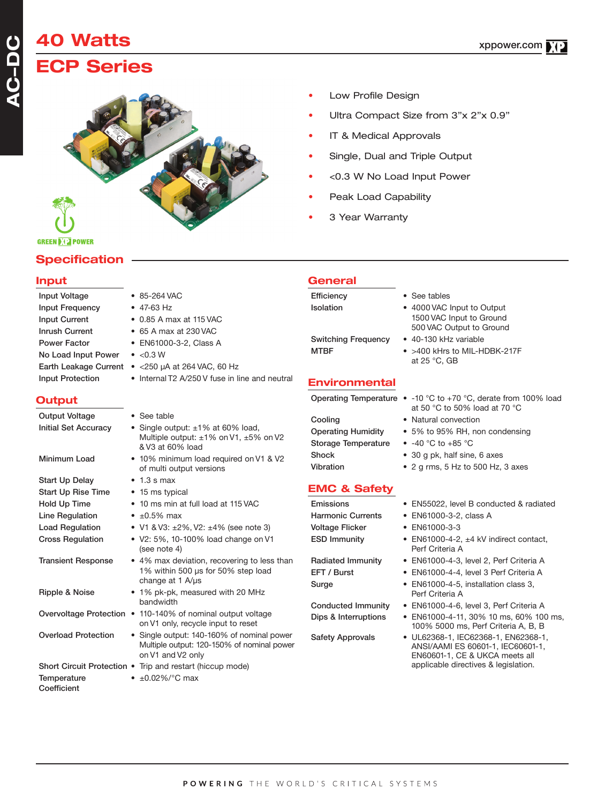# **40 Watts ECP Series**



 $\cdot$  85-264 VAC  $• 47-63 Hz$ 

 $\bullet$  <0.3 W

 $\bullet$  0.85 A max at 115 VAC  $\bullet$  65 A max at 230 VAC • EN61000-3-2, Class A

 $\bullet$  <250 μA at 264 VAC, 60 Hz

• Internal T2 A/250 V fuse in line and neutral

**GREEN DIE POWER** 

### **Specification**

### **Input**

| <b>Input Voltage</b>         |
|------------------------------|
| <b>Input Frequency</b>       |
| <b>Input Current</b>         |
| Inrush Current               |
| Power Factor                 |
| No Load Input Power          |
| <b>Earth Leakage Current</b> |
| <b>Input Protection</b>      |

### **Output**

| <b>Output Voltage</b>      | $\bullet$ See table                                                                                              |
|----------------------------|------------------------------------------------------------------------------------------------------------------|
| Initial Set Accuracy       | • Single output: $\pm 1\%$ at 60% load,<br>Multiple output: $\pm 1\%$ on V1, $\pm 5\%$ on V2<br>& V3 at 60% load |
| Minimum Load               | • 10% minimum load required on V1 & V2<br>of multi output versions                                               |
| <b>Start Up Delay</b>      | $\bullet$ 1.3 s max                                                                                              |
| <b>Start Up Rise Time</b>  | • 15 ms typical                                                                                                  |
| Hold Up Time               | • 10 ms min at full load at 115 VAC                                                                              |
| Line Regulation            | $\bullet$ +0.5% max                                                                                              |
| <b>Load Regulation</b>     | • V1 & V3: ±2%, V2: ±4% (see note 3)                                                                             |
| <b>Cross Regulation</b>    | • V2: 5%, 10-100% load change on V1<br>(see note 4)                                                              |
| <b>Transient Response</b>  | • 4% max deviation, recovering to less than<br>1% within 500 us for 50% step load<br>change at 1 A/µs            |
| Ripple & Noise             | • 1% pk-pk, measured with 20 MHz<br>bandwidth                                                                    |
| Overvoltage Protection     | • 110-140% of nominal output voltage<br>on V1 only, recycle input to reset                                       |
| <b>Overload Protection</b> | • Single output: 140-160% of nominal power<br>Multiple output: 120-150% of nominal power<br>on V1 and V2 only    |
|                            | Short Circuit Protection • Trip and restart (hiccup mode)                                                        |
| Temperature<br>Coefficient | • $\pm 0.02\%$ /°C max                                                                                           |

- Low Profile Design
- Ultra Compact Size from 3"x 2"x 0.9"
- IT & Medical Approvals
- Single, Dual and Triple Output
- <0.3 W No Load Input Power
- Peak Load Capability
- 3 Year Warranty

| <b>General</b>             |                                                                                    |
|----------------------------|------------------------------------------------------------------------------------|
| Efficiency                 | • See tables                                                                       |
| Isolation                  | • 4000 VAC Input to Output<br>1500 VAC Input to Ground<br>500 VAC Output to Ground |
| <b>Switching Frequency</b> | • 40-130 kHz variable                                                              |
| <b>MTBF</b>                | $\bullet$ >400 kHrs to MII-HDBK-2<br>at 25 °C, GB                                  |

### **Environmental**

Storage Temperature • -40 °C to +85 °C

### **EMC & Safety**

Voltage Flicker • EN61000-3-3

Operating Temperature • -10 °C to +70 °C, derate from 100% load at 50 °C to 50% load at 70 °C

kHrs to MIL-HDBK-217F

- Cooling Natural convection
- Operating Humidity 5% to 95% RH, non condensing

- 
- Shock 30 g pk, half sine, 6 axes
- Vibration 2 g rms, 5 Hz to 500 Hz, 3 axes
- Emissions EN55022, level B conducted & radiated
- Harmonic Currents EN61000-3-2, class A
	-
- ESD Immunity EN61000-4-2, ±4 kV indirect contact, Perf Criteria A
- Radiated Immunity EN61000-4-3, level 2, Perf Criteria A
- EFT / Burst EN61000-4-4, level 3 Perf Criteria A
- Surge EN61000-4-5, installation class 3, Perf Criteria A
- Conducted Immunity EN61000-4-6, level 3, Perf Criteria A
- Dips & Interruptions EN61000-4-11, 30% 10 ms, 60% 100 ms, 100% 5000 ms, Perf Criteria A, B, B
- Safety Approvals UL62368-1, IEC62368-1, EN62368-1, ANSI/AAMI ES 60601-1, IEC60601-1, EN60601-1, CE & UKCA meets all applicable directives & legislation.